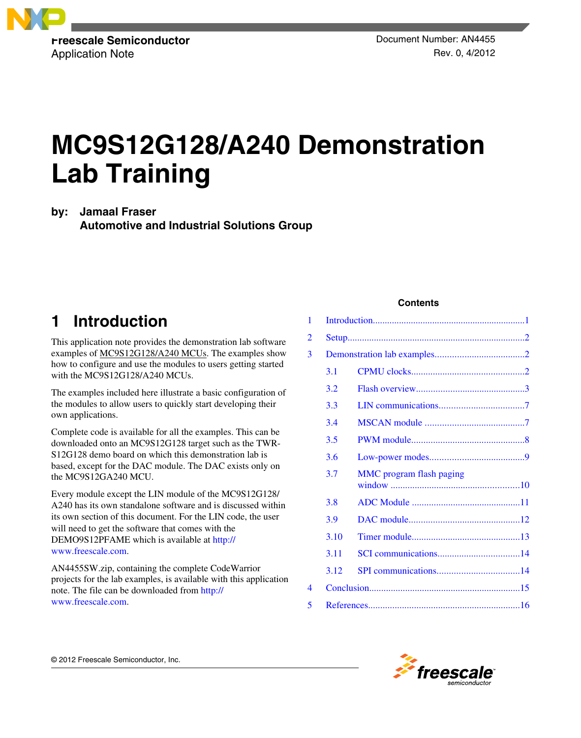

Application Note **Rev. 0, 4/2012** 

# **MC9S12G128/A240 Demonstration Lab Training**

**by: Jamaal Fraser**

**Automotive and Industrial Solutions Group**

# **1 Introduction**

This application note provides the demonstration lab software examples of [MC9S12G128/A240 MCUs.](https://www.nxp.com/products/processors-and-microcontrollers/additional-mpu-mcus-architectures/16-bit-s12-and-s12x-mcus/ultra-reliable-s12g-general-purpose-automotive-and-industrial-microcontrollers:S12G?utm_medium=AN-2021) The examples show how to configure and use the modules to users getting started with the MC9S12G128/A240 MCUs.

The examples included here illustrate a basic configuration of the modules to allow users to quickly start developing their own applications.

Complete code is available for all the examples. This can be downloaded onto an MC9S12G128 target such as the TWR-S12G128 demo board on which this demonstration lab is based, except for the DAC module. The DAC exists only on the MC9S12GA240 MCU.

Every module except the LIN module of the MC9S12G128/ A240 has its own standalone software and is discussed within its own section of this document. For the LIN code, the user will need to get the software that comes with the DEMO9S12PFAME which is available at [http://](http://www.freescale.com) [www.freescale.com](http://www.freescale.com).

AN4455SW.zip, containing the complete CodeWarrior projects for the lab examples, is available with this application note. The file can be downloaded from [http://](http://www.freescale.com) [www.freescale.com](http://www.freescale.com).

#### **Contents**

| 3.1  |                          |  |  |  |  |  |
|------|--------------------------|--|--|--|--|--|
| 3.2  |                          |  |  |  |  |  |
| 3.3  |                          |  |  |  |  |  |
| 3.4  |                          |  |  |  |  |  |
| 3.5  |                          |  |  |  |  |  |
| 3.6  |                          |  |  |  |  |  |
| 3.7  | MMC program flash paging |  |  |  |  |  |
| 3.8  |                          |  |  |  |  |  |
| 3.9  |                          |  |  |  |  |  |
| 3.10 |                          |  |  |  |  |  |
| 3.11 |                          |  |  |  |  |  |
| 3.12 |                          |  |  |  |  |  |
|      |                          |  |  |  |  |  |
|      |                          |  |  |  |  |  |
|      |                          |  |  |  |  |  |



© 2012 Freescale Semiconductor, Inc.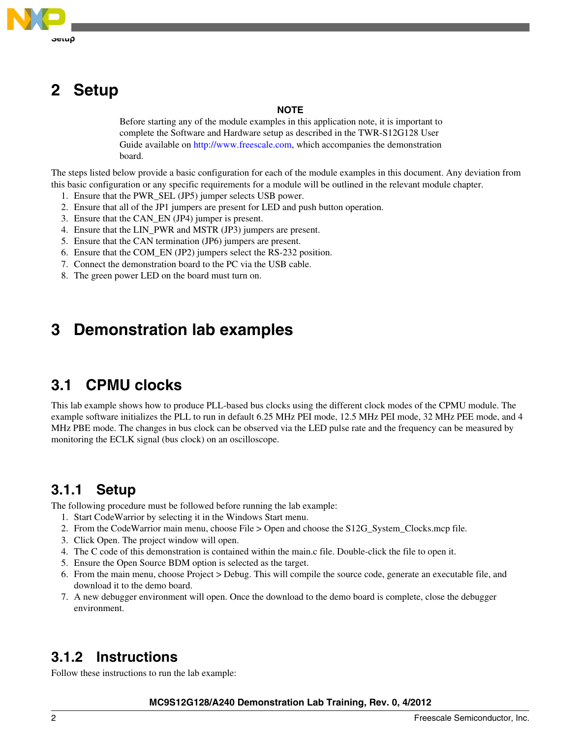<span id="page-1-0"></span>

# **2 Setup**

#### **NOTE**

Before starting any of the module examples in this application note, it is important to complete the Software and Hardware setup as described in the TWR-S12G128 User Guide available on<http://www.freescale.com>, which accompanies the demonstration board.

The steps listed below provide a basic configuration for each of the module examples in this document. Any deviation from this basic configuration or any specific requirements for a module will be outlined in the relevant module chapter.

- 1. Ensure that the PWR\_SEL (JP5) jumper selects USB power.
- 2. Ensure that all of the JP1 jumpers are present for LED and push button operation.
- 3. Ensure that the CAN\_EN (JP4) jumper is present.
- 4. Ensure that the LIN\_PWR and MSTR (JP3) jumpers are present.
- 5. Ensure that the CAN termination (JP6) jumpers are present.
- 6. Ensure that the COM\_EN (JP2) jumpers select the RS-232 position.
- 7. Connect the demonstration board to the PC via the USB cable.
- 8. The green power LED on the board must turn on.

# **3 Demonstration lab examples**

# **3.1 CPMU clocks**

This lab example shows how to produce PLL-based bus clocks using the different clock modes of the CPMU module. The example software initializes the PLL to run in default 6.25 MHz PEI mode, 12.5 MHz PEI mode, 32 MHz PEE mode, and 4 MHz PBE mode. The changes in bus clock can be observed via the LED pulse rate and the frequency can be measured by monitoring the ECLK signal (bus clock) on an oscilloscope.

# **3.1.1 Setup**

The following procedure must be followed before running the lab example:

- 1. Start CodeWarrior by selecting it in the Windows Start menu.
- 2. From the CodeWarrior main menu, choose File > Open and choose the S12G\_System\_Clocks.mcp file.
- 3. Click Open. The project window will open.
- 4. The C code of this demonstration is contained within the main.c file. Double-click the file to open it.
- 5. Ensure the Open Source BDM option is selected as the target.
- 6. From the main menu, choose Project > Debug. This will compile the source code, generate an executable file, and download it to the demo board.
- 7. A new debugger environment will open. Once the download to the demo board is complete, close the debugger environment.

# **3.1.2 Instructions**

Follow these instructions to run the lab example: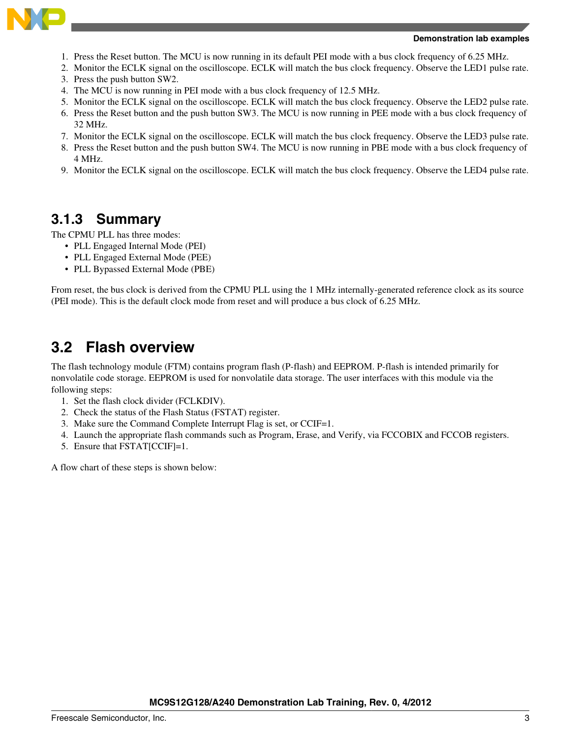<span id="page-2-0"></span>

- 1. Press the Reset button. The MCU is now running in its default PEI mode with a bus clock frequency of 6.25 MHz.
- 2. Monitor the ECLK signal on the oscilloscope. ECLK will match the bus clock frequency. Observe the LED1 pulse rate.
- 3. Press the push button SW2.
- 4. The MCU is now running in PEI mode with a bus clock frequency of 12.5 MHz.
- 5. Monitor the ECLK signal on the oscilloscope. ECLK will match the bus clock frequency. Observe the LED2 pulse rate.
- 6. Press the Reset button and the push button SW3. The MCU is now running in PEE mode with a bus clock frequency of 32 MHz.
- 7. Monitor the ECLK signal on the oscilloscope. ECLK will match the bus clock frequency. Observe the LED3 pulse rate.
- 8. Press the Reset button and the push button SW4. The MCU is now running in PBE mode with a bus clock frequency of 4 MHz.
- 9. Monitor the ECLK signal on the oscilloscope. ECLK will match the bus clock frequency. Observe the LED4 pulse rate.

### **3.1.3 Summary**

The CPMU PLL has three modes:

- PLL Engaged Internal Mode (PEI)
- PLL Engaged External Mode (PEE)
- PLL Bypassed External Mode (PBE)

From reset, the bus clock is derived from the CPMU PLL using the 1 MHz internally-generated reference clock as its source (PEI mode). This is the default clock mode from reset and will produce a bus clock of 6.25 MHz.

# **3.2 Flash overview**

The flash technology module (FTM) contains program flash (P-flash) and EEPROM. P-flash is intended primarily for nonvolatile code storage. EEPROM is used for nonvolatile data storage. The user interfaces with this module via the following steps:

- 1. Set the flash clock divider (FCLKDIV).
- 2. Check the status of the Flash Status (FSTAT) register.
- 3. Make sure the Command Complete Interrupt Flag is set, or CCIF=1.
- 4. Launch the appropriate flash commands such as Program, Erase, and Verify, via FCCOBIX and FCCOB registers.
- 5. Ensure that FSTAT[CCIF]=1.

A flow chart of these steps is shown below: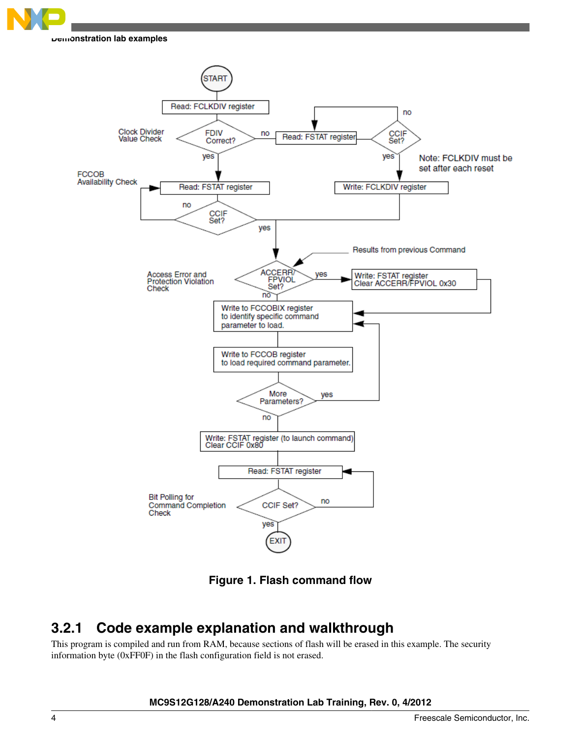





**Figure 1. Flash command flow**

# **3.2.1 Code example explanation and walkthrough**

This program is compiled and run from RAM, because sections of flash will be erased in this example. The security information byte (0xFF0F) in the flash configuration field is not erased.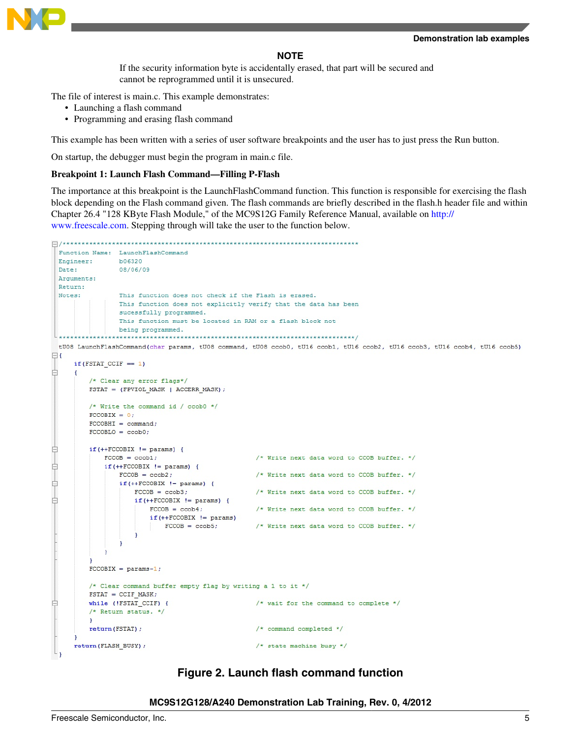

**NOTE**

If the security information byte is accidentally erased, that part will be secured and cannot be reprogrammed until it is unsecured.

The file of interest is main.c. This example demonstrates:

- Launching a flash command
- Programming and erasing flash command

This example has been written with a series of user software breakpoints and the user has to just press the Run button.

On startup, the debugger must begin the program in main.c file.

#### **Breakpoint 1: Launch Flash Command—Filling P-Flash**

The importance at this breakpoint is the LaunchFlashCommand function. This function is responsible for exercising the flash block depending on the Flash command given. The flash commands are briefly described in the flash.h header file and within Chapter 26.4 "128 KByte Flash Module," of the MC9S12G Family Reference Manual, available on [http://](http://www.freescale.com) [www.freescale.com](http://www.freescale.com). Stepping through will take the user to the function below.

Function Name: LaunchFlashCommand b06320 Engineer: 08/06/09 Date: Arguments: Return: Notes: This function does not check if the Flash is erased. This function does not explicitly verify that the data has been sucessfully programmed. This function must be located in RAM or a flash block not being programmed. tU08 LaunchFlashCommand(char params, tU08 command, tU08 ccob0, tU16 ccob1, tU16 ccob2, tU16 ccob3, tU16 ccob4, tU16 ccob5)  $\boxminus$  {  $if(FSTAT CCIF == 1)$ 白  $\left\{ \right.$ /\* Clear any error flags\*/ FSTAT = (FPVIOL MASK | ACCERR MASK) ; /\* Write the command id / ccob0 \*/  $\text{FCCOBIX} = 0$ :  $\texttt{FCCOBHI} = \texttt{command};$  $\texttt{FCCOBLO} = \texttt{ccob0}$ : 申  $if (+FCCOBIX != params)$  {  $\text{FCCOB} = \text{ccobl};$ /\* Write next data word to CCOB buffer. \*/ ₿  $if (+FCCOBIX != params)$  {  $\text{FCCOB} = \text{ccob2};$ /\* Write next data word to CCOB buffer. \*/ ₿  $if (+FCCOBIX != params)$  { /\* Write next data word to CCOB buffer. \*/  $\text{FCCOB} = \text{ccob3};$  $if (+FCCOBIX != params)$  { 白  $\texttt{FCCOB} = \texttt{ccob4};$ /\* Write next data word to CCOB buffer. \*/  $if (++FCCOBIX != params)$  $\texttt{FCCOB} = \texttt{ccob5};$ /\* Write next data word to CCOB buffer. \*/ <sup>1</sup> <sup>1</sup>  $\mathbf{r}$ x  $\texttt{FCCOBIX} = \texttt{params-1};$ /\* Clear command buffer empty flag by writing a 1 to it \*/  $ESTAT = CCIF_MASK;$ while (!FSTAT\_CCIF) { /\* wait for the command to complete \*/ Ė /\* Return status. \*/  $\mathbf{r}$ return(FSTAT);  $/*$  command completed \*/ <sup>1</sup> return (FLASH BUSY) ; /\* state machine busy \*/

#### **Figure 2. Launch flash command function**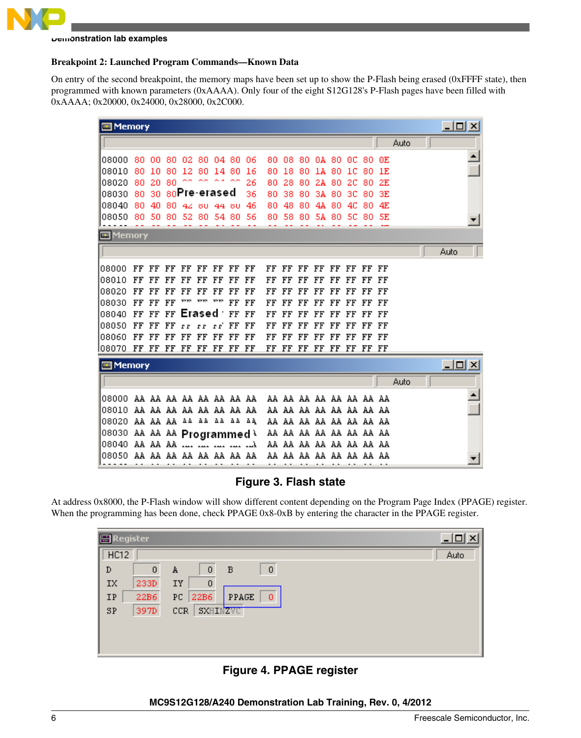

#### **Breakpoint 2: Launched Program Commands—Known Data**

On entry of the second breakpoint, the memory maps have been set up to show the P-Flash being erased (0xFFFF state), then programmed with known parameters (0xAAAA). Only four of the eight S12G128's P-Flash pages have been filled with 0xAAAA; 0x20000, 0x24000, 0x28000, 0x2C000.

| Memory                             |     |          |     |                   |        |                         |    |                         |     |    |    |    |       |                         |       |    |      | <u>_  미</u> × |  |
|------------------------------------|-----|----------|-----|-------------------|--------|-------------------------|----|-------------------------|-----|----|----|----|-------|-------------------------|-------|----|------|---------------|--|
|                                    |     |          |     |                   |        |                         |    |                         |     |    |    |    |       |                         |       |    | Auto |               |  |
| 08000                              |     |          |     |                   |        | 80 00 80 02 80 04 80 06 |    |                         | 80. | 08 | 80 |    | 0A 80 | -OC                     | 80    | 0E |      |               |  |
| 08010                              | 80  | 10       | 80  | 12                | 80     | 14 80                   |    | -16                     | 80  | 18 | 80 | 1A | 80    | ıс                      | 80    | 1E |      |               |  |
| 08020                              | 80  | 20       | 80  |                   |        |                         |    | 26                      | 80  | 28 | 80 | 2A | 80    | 20                      | 80    | 2E |      |               |  |
| 08030                              |     |          |     |                   |        | 80 30 80Pre-erased      |    | 36                      | 80  | 38 | 80 | 3A | 80    | 30                      | 80    | 3E |      |               |  |
| 08040                              | 80. | 40       | 80. |                   |        | 44 80 44 80             |    | -46                     | 80  | 48 | 80 | 4A | 80    | 4C                      | 80    | 4E |      |               |  |
| 08050 80 50                        |     |          |     | 80 52             |        | 80 54 80 56             |    |                         | 80  | 58 | 80 | 5A | 80    | 50                      | -80   | 5E |      |               |  |
| Memory                             |     |          |     |                   |        |                         |    |                         |     |    |    |    |       |                         |       |    |      |               |  |
|                                    |     |          |     |                   |        |                         |    |                         |     |    |    |    |       |                         |       |    |      | Auto          |  |
| 108000                             | FF  | FF       | FF  | FF                | FF     | FF                      | FF | FF                      | FF  | FF | FF | FF | FF    | FF                      | FF    | FF |      |               |  |
| 108010                             | FF  | FF       | FF  | FF                | FF     | FF                      | FF | FF                      | FF  | FF | FF | FF | FF    | FF                      | FF    | FF |      |               |  |
| 108020                             | FF  | FF       | FF  | FF                | FF     | FF                      | FF | FF                      | FF  | FF | FF | FF | FF    | FF                      | FF    | FF |      |               |  |
| 108030                             | FF  | FF       | FF  |                   |        |                         | FF | FF                      | FF  | FF | FF | FF | FF    | FF                      | FF    | FF |      |               |  |
| 108040                             | FF  | FF       | FF  |                   | Erased |                         | FF | FF                      | FF  | FF | FF | FF | FF    | FF                      | FF    | FF |      |               |  |
| 108050                             | FF  | FF       | FF  | г<br>$\mathbf{r}$ | r r    | r                       | FF | FF                      | FF  | FF | FF | FF | FF    | FF                      | FF    | FF |      |               |  |
| 108060                             | FF  | FF       | FF  | FF                | FF     | FF                      | FF | FF                      | FF  | FF | FF | FF | FF    | FF                      | FF    | FF |      |               |  |
| 108070                             |     |          |     |                   |        | FF FF FF FF FF FF FF FF |    |                         | FF  | FF | FF | FF | FF    | FF                      | FF FF |    |      |               |  |
| <b>Memory</b>                      |     |          |     |                   |        |                         |    |                         |     |    |    |    |       |                         |       |    |      | 그미지           |  |
|                                    |     |          |     |                   |        |                         |    |                         |     |    |    |    |       |                         |       |    | Auto |               |  |
| 08000                              |     |          |     |                   |        |                         |    | AA AA AA AA AA AA AA AA |     |    |    |    |       | AA AA AA AA AA AA AA AA |       |    |      |               |  |
| 08010                              |     |          |     |                   |        | AA AA AA AA AA AA AA AA |    |                         |     |    |    |    |       | AA AA AA AA AA AA AA AA |       |    |      |               |  |
| 08020                              |     |          |     |                   |        | AA AA AA AA AA AA AA AA |    |                         |     |    |    |    |       | AA AA AA AA AA AA AA AA |       |    |      |               |  |
| 08030 AA AA AA <b>Programmed</b> \ |     |          |     |                   |        |                         |    |                         |     |    |    |    |       | AA AA AA AA AA AA AA AA |       |    |      |               |  |
| 08040                              |     | AA AA AA |     |                   |        |                         |    |                         |     |    |    |    |       | AA AA AA AA AA AA AA AA |       |    |      |               |  |
| 08050                              |     | AA AA    | AA  |                   |        | AA AA AA AA AA          |    |                         | AA  | AA |    |    |       | AA AA AA AA AA AA       |       |    |      |               |  |

#### **Figure 3. Flash state**

At address 0x8000, the P-Flash window will show different content depending on the Program Page Index (PPAGE) register. When the programming has been done, check PPAGE 0x8-0xB by entering the character in the PPAGE register.

| 圖<br><u>니</u><br>Register               | ◡ |
|-----------------------------------------|---|
| HC12<br>Auto                            |   |
| D<br>$\overline{0}$<br>0<br>0<br>A<br>в |   |
| IX<br>233D<br>IY<br>0                   |   |
| PPAGE<br>22B6<br>PC<br>22B6<br>IP<br>0  |   |
| SP<br><b>SXHINZVC</b><br>397D<br>CCR    |   |
|                                         |   |
|                                         |   |

#### **Figure 4. PPAGE register**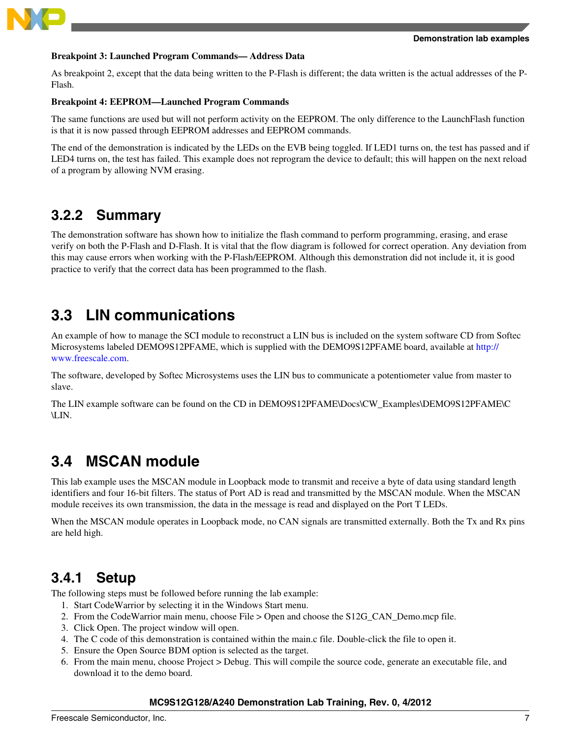<span id="page-6-0"></span>

#### **Breakpoint 3: Launched Program Commands— Address Data**

As breakpoint 2, except that the data being written to the P-Flash is different; the data written is the actual addresses of the P-Flash.

#### **Breakpoint 4: EEPROM—Launched Program Commands**

The same functions are used but will not perform activity on the EEPROM. The only difference to the LaunchFlash function is that it is now passed through EEPROM addresses and EEPROM commands.

The end of the demonstration is indicated by the LEDs on the EVB being toggled. If LED1 turns on, the test has passed and if LED4 turns on, the test has failed. This example does not reprogram the device to default; this will happen on the next reload of a program by allowing NVM erasing.

### **3.2.2 Summary**

The demonstration software has shown how to initialize the flash command to perform programming, erasing, and erase verify on both the P-Flash and D-Flash. It is vital that the flow diagram is followed for correct operation. Any deviation from this may cause errors when working with the P-Flash/EEPROM. Although this demonstration did not include it, it is good practice to verify that the correct data has been programmed to the flash.

# **3.3 LIN communications**

An example of how to manage the SCI module to reconstruct a LIN bus is included on the system software CD from Softec Microsystems labeled DEMO9S12PFAME, which is supplied with the DEMO9S12PFAME board, available at [http://](http://www.freescale.com) [www.freescale.com](http://www.freescale.com).

The software, developed by Softec Microsystems uses the LIN bus to communicate a potentiometer value from master to slave.

The LIN example software can be found on the CD in DEMO9S12PFAME\Docs\CW\_Examples\DEMO9S12PFAME\C \LIN.

# **3.4 MSCAN module**

This lab example uses the MSCAN module in Loopback mode to transmit and receive a byte of data using standard length identifiers and four 16-bit filters. The status of Port AD is read and transmitted by the MSCAN module. When the MSCAN module receives its own transmission, the data in the message is read and displayed on the Port T LEDs.

When the MSCAN module operates in Loopback mode, no CAN signals are transmitted externally. Both the Tx and Rx pins are held high.

### **3.4.1 Setup**

The following steps must be followed before running the lab example:

- 1. Start CodeWarrior by selecting it in the Windows Start menu.
- 2. From the CodeWarrior main menu, choose File > Open and choose the S12G\_CAN\_Demo.mcp file.
- 3. Click Open. The project window will open.
- 4. The C code of this demonstration is contained within the main.c file. Double-click the file to open it.
- 5. Ensure the Open Source BDM option is selected as the target.
- 6. From the main menu, choose Project > Debug. This will compile the source code, generate an executable file, and download it to the demo board.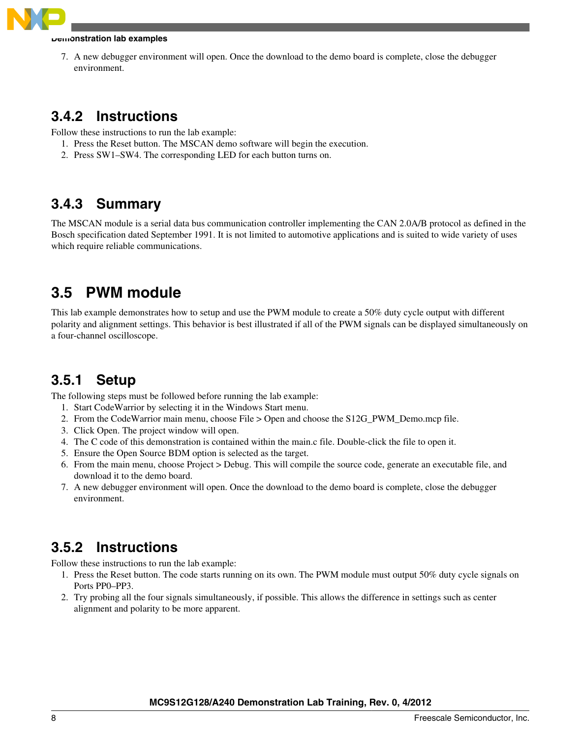<span id="page-7-0"></span>

7. A new debugger environment will open. Once the download to the demo board is complete, close the debugger environment.

# **3.4.2 Instructions**

Follow these instructions to run the lab example:

- 1. Press the Reset button. The MSCAN demo software will begin the execution.
- 2. Press SW1–SW4. The corresponding LED for each button turns on.

# **3.4.3 Summary**

The MSCAN module is a serial data bus communication controller implementing the CAN 2.0A/B protocol as defined in the Bosch specification dated September 1991. It is not limited to automotive applications and is suited to wide variety of uses which require reliable communications.

# **3.5 PWM module**

This lab example demonstrates how to setup and use the PWM module to create a 50% duty cycle output with different polarity and alignment settings. This behavior is best illustrated if all of the PWM signals can be displayed simultaneously on a four-channel oscilloscope.

# **3.5.1 Setup**

The following steps must be followed before running the lab example:

- 1. Start CodeWarrior by selecting it in the Windows Start menu.
- 2. From the CodeWarrior main menu, choose File > Open and choose the S12G\_PWM\_Demo.mcp file.
- 3. Click Open. The project window will open.
- 4. The C code of this demonstration is contained within the main.c file. Double-click the file to open it.
- 5. Ensure the Open Source BDM option is selected as the target.
- 6. From the main menu, choose Project > Debug. This will compile the source code, generate an executable file, and download it to the demo board.
- 7. A new debugger environment will open. Once the download to the demo board is complete, close the debugger environment.

# **3.5.2 Instructions**

Follow these instructions to run the lab example:

- 1. Press the Reset button. The code starts running on its own. The PWM module must output 50% duty cycle signals on Ports PP0–PP3.
- 2. Try probing all the four signals simultaneously, if possible. This allows the difference in settings such as center alignment and polarity to be more apparent.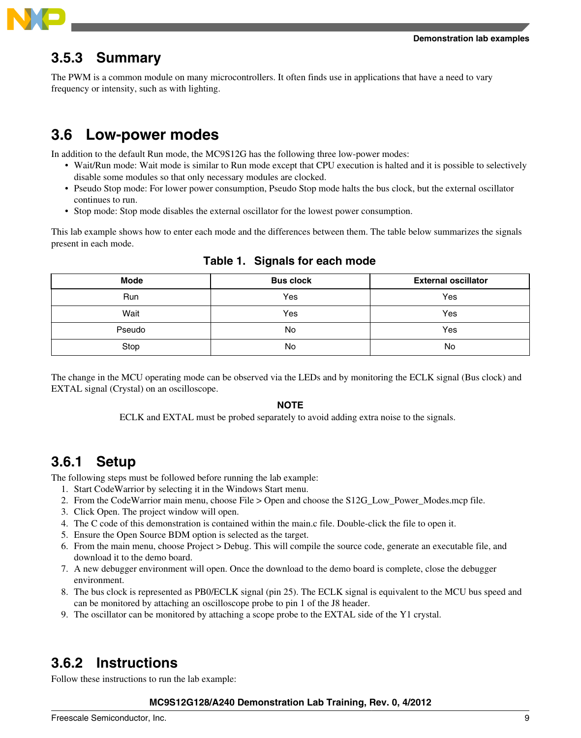<span id="page-8-0"></span>

### **3.5.3 Summary**

The PWM is a common module on many microcontrollers. It often finds use in applications that have a need to vary frequency or intensity, such as with lighting.

# **3.6 Low-power modes**

In addition to the default Run mode, the MC9S12G has the following three low-power modes:

- Wait/Run mode: Wait mode is similar to Run mode except that CPU execution is halted and it is possible to selectively disable some modules so that only necessary modules are clocked.
- Pseudo Stop mode: For lower power consumption, Pseudo Stop mode halts the bus clock, but the external oscillator continues to run.
- Stop mode: Stop mode disables the external oscillator for the lowest power consumption.

This lab example shows how to enter each mode and the differences between them. The table below summarizes the signals present in each mode.

| <b>Mode</b> | <b>Bus clock</b> | <b>External oscillator</b> |
|-------------|------------------|----------------------------|
| <b>Run</b>  | Yes              | Yes                        |
| Wait        | Yes              | Yes                        |
| Pseudo      | No               | Yes                        |
| Stop        | No               | No                         |

### **Table 1. Signals for each mode**

The change in the MCU operating mode can be observed via the LEDs and by monitoring the ECLK signal (Bus clock) and EXTAL signal (Crystal) on an oscilloscope.

#### **NOTE**

ECLK and EXTAL must be probed separately to avoid adding extra noise to the signals.

### **3.6.1 Setup**

The following steps must be followed before running the lab example:

- 1. Start CodeWarrior by selecting it in the Windows Start menu.
- 2. From the CodeWarrior main menu, choose File > Open and choose the S12G\_Low\_Power\_Modes.mcp file.
- 3. Click Open. The project window will open.
- 4. The C code of this demonstration is contained within the main.c file. Double-click the file to open it.
- 5. Ensure the Open Source BDM option is selected as the target.
- 6. From the main menu, choose Project > Debug. This will compile the source code, generate an executable file, and download it to the demo board.
- 7. A new debugger environment will open. Once the download to the demo board is complete, close the debugger environment.
- 8. The bus clock is represented as PB0/ECLK signal (pin 25). The ECLK signal is equivalent to the MCU bus speed and can be monitored by attaching an oscilloscope probe to pin 1 of the J8 header.
- 9. The oscillator can be monitored by attaching a scope probe to the EXTAL side of the Y1 crystal.

# **3.6.2 Instructions**

Follow these instructions to run the lab example: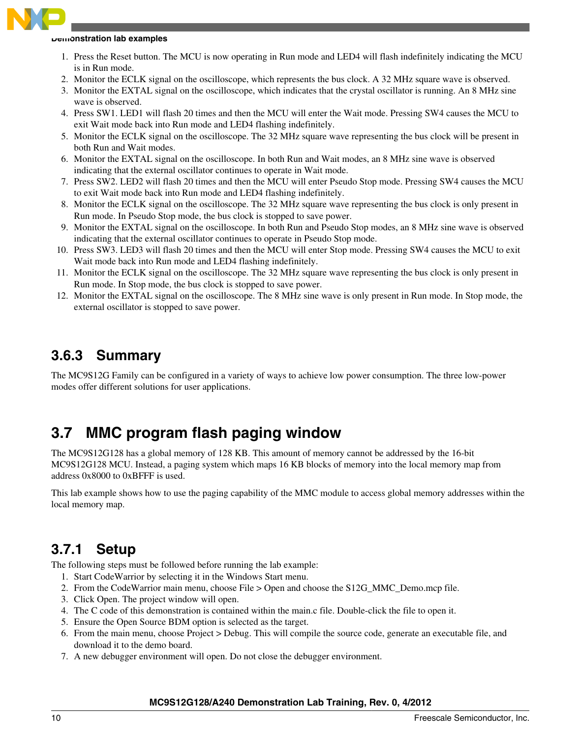<span id="page-9-0"></span>

- 1. Press the Reset button. The MCU is now operating in Run mode and LED4 will flash indefinitely indicating the MCU is in Run mode.
- 2. Monitor the ECLK signal on the oscilloscope, which represents the bus clock. A 32 MHz square wave is observed.
- 3. Monitor the EXTAL signal on the oscilloscope, which indicates that the crystal oscillator is running. An 8 MHz sine wave is observed.
- 4. Press SW1. LED1 will flash 20 times and then the MCU will enter the Wait mode. Pressing SW4 causes the MCU to exit Wait mode back into Run mode and LED4 flashing indefinitely.
- 5. Monitor the ECLK signal on the oscilloscope. The 32 MHz square wave representing the bus clock will be present in both Run and Wait modes.
- 6. Monitor the EXTAL signal on the oscilloscope. In both Run and Wait modes, an 8 MHz sine wave is observed indicating that the external oscillator continues to operate in Wait mode.
- 7. Press SW2. LED2 will flash 20 times and then the MCU will enter Pseudo Stop mode. Pressing SW4 causes the MCU to exit Wait mode back into Run mode and LED4 flashing indefinitely.
- 8. Monitor the ECLK signal on the oscilloscope. The 32 MHz square wave representing the bus clock is only present in Run mode. In Pseudo Stop mode, the bus clock is stopped to save power.
- 9. Monitor the EXTAL signal on the oscilloscope. In both Run and Pseudo Stop modes, an 8 MHz sine wave is observed indicating that the external oscillator continues to operate in Pseudo Stop mode.
- 10. Press SW3. LED3 will flash 20 times and then the MCU will enter Stop mode. Pressing SW4 causes the MCU to exit Wait mode back into Run mode and LED4 flashing indefinitely.
- 11. Monitor the ECLK signal on the oscilloscope. The 32 MHz square wave representing the bus clock is only present in Run mode. In Stop mode, the bus clock is stopped to save power.
- 12. Monitor the EXTAL signal on the oscilloscope. The 8 MHz sine wave is only present in Run mode. In Stop mode, the external oscillator is stopped to save power.

### **3.6.3 Summary**

The MC9S12G Family can be configured in a variety of ways to achieve low power consumption. The three low-power modes offer different solutions for user applications.

# **3.7 MMC program flash paging window**

The MC9S12G128 has a global memory of 128 KB. This amount of memory cannot be addressed by the 16-bit MC9S12G128 MCU. Instead, a paging system which maps 16 KB blocks of memory into the local memory map from address 0x8000 to 0xBFFF is used.

This lab example shows how to use the paging capability of the MMC module to access global memory addresses within the local memory map.

# **3.7.1 Setup**

The following steps must be followed before running the lab example:

- 1. Start CodeWarrior by selecting it in the Windows Start menu.
- 2. From the CodeWarrior main menu, choose File > Open and choose the S12G\_MMC\_Demo.mcp file.
- 3. Click Open. The project window will open.
- 4. The C code of this demonstration is contained within the main.c file. Double-click the file to open it.
- 5. Ensure the Open Source BDM option is selected as the target.
- 6. From the main menu, choose Project > Debug. This will compile the source code, generate an executable file, and download it to the demo board.
- 7. A new debugger environment will open. Do not close the debugger environment.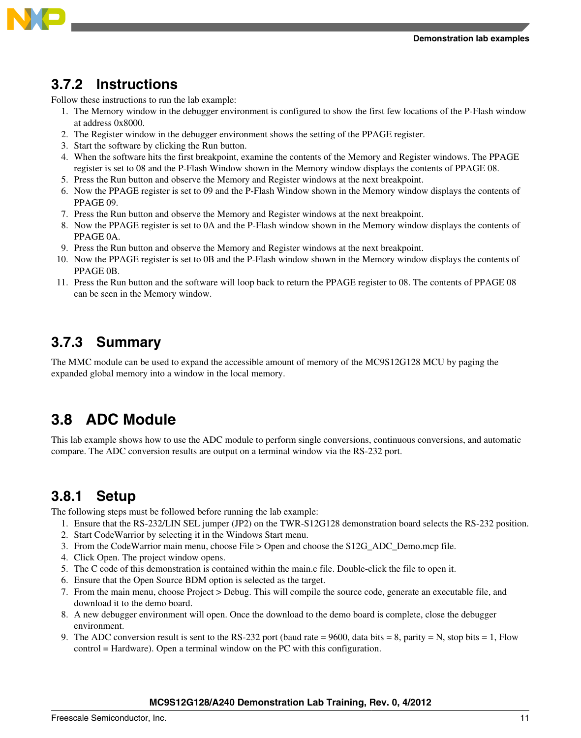<span id="page-10-0"></span>

# **3.7.2 Instructions**

Follow these instructions to run the lab example:

- 1. The Memory window in the debugger environment is configured to show the first few locations of the P-Flash window at address 0x8000.
- 2. The Register window in the debugger environment shows the setting of the PPAGE register.
- 3. Start the software by clicking the Run button.
- 4. When the software hits the first breakpoint, examine the contents of the Memory and Register windows. The PPAGE register is set to 08 and the P-Flash Window shown in the Memory window displays the contents of PPAGE 08.
- 5. Press the Run button and observe the Memory and Register windows at the next breakpoint.
- 6. Now the PPAGE register is set to 09 and the P-Flash Window shown in the Memory window displays the contents of PPAGE 09.
- 7. Press the Run button and observe the Memory and Register windows at the next breakpoint.
- 8. Now the PPAGE register is set to 0A and the P-Flash window shown in the Memory window displays the contents of PPAGE 0A.
- 9. Press the Run button and observe the Memory and Register windows at the next breakpoint.
- 10. Now the PPAGE register is set to 0B and the P-Flash window shown in the Memory window displays the contents of PPAGE 0B.
- 11. Press the Run button and the software will loop back to return the PPAGE register to 08. The contents of PPAGE 08 can be seen in the Memory window.

### **3.7.3 Summary**

The MMC module can be used to expand the accessible amount of memory of the MC9S12G128 MCU by paging the expanded global memory into a window in the local memory.

# **3.8 ADC Module**

This lab example shows how to use the ADC module to perform single conversions, continuous conversions, and automatic compare. The ADC conversion results are output on a terminal window via the RS-232 port.

### **3.8.1 Setup**

The following steps must be followed before running the lab example:

- 1. Ensure that the RS-232/LIN SEL jumper (JP2) on the TWR-S12G128 demonstration board selects the RS-232 position.
- 2. Start CodeWarrior by selecting it in the Windows Start menu.
- 3. From the CodeWarrior main menu, choose File > Open and choose the S12G\_ADC\_Demo.mcp file.
- 4. Click Open. The project window opens.
- 5. The C code of this demonstration is contained within the main.c file. Double-click the file to open it.
- 6. Ensure that the Open Source BDM option is selected as the target.
- 7. From the main menu, choose Project > Debug. This will compile the source code, generate an executable file, and download it to the demo board.
- 8. A new debugger environment will open. Once the download to the demo board is complete, close the debugger environment.
- 9. The ADC conversion result is sent to the RS-232 port (baud rate = 9600, data bits = 8, parity = N, stop bits = 1, Flow control = Hardware). Open a terminal window on the PC with this configuration.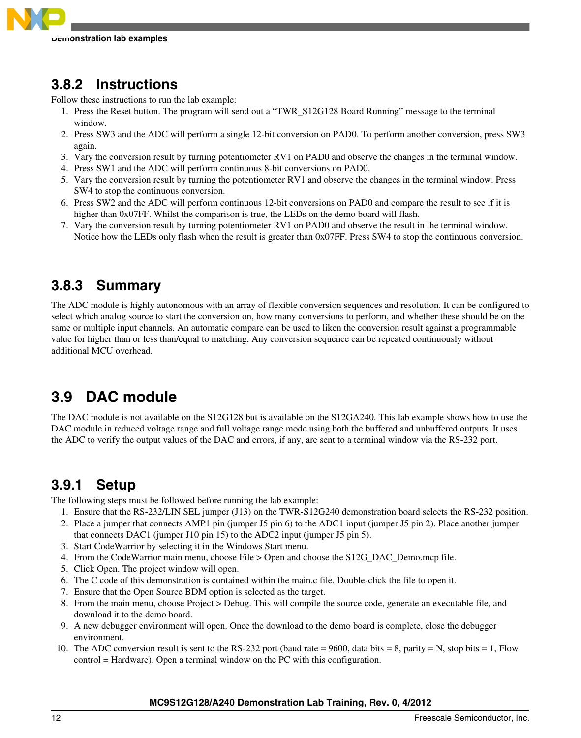<span id="page-11-0"></span>

# **3.8.2 Instructions**

Follow these instructions to run the lab example:

- 1. Press the Reset button. The program will send out a "TWR\_S12G128 Board Running" message to the terminal window.
- 2. Press SW3 and the ADC will perform a single 12-bit conversion on PAD0. To perform another conversion, press SW3 again.
- 3. Vary the conversion result by turning potentiometer RV1 on PAD0 and observe the changes in the terminal window.
- 4. Press SW1 and the ADC will perform continuous 8-bit conversions on PAD0.
- 5. Vary the conversion result by turning the potentiometer RV1 and observe the changes in the terminal window. Press SW4 to stop the continuous conversion.
- 6. Press SW2 and the ADC will perform continuous 12-bit conversions on PAD0 and compare the result to see if it is higher than 0x07FF. Whilst the comparison is true, the LEDs on the demo board will flash.
- 7. Vary the conversion result by turning potentiometer RV1 on PAD0 and observe the result in the terminal window. Notice how the LEDs only flash when the result is greater than 0x07FF. Press SW4 to stop the continuous conversion.

### **3.8.3 Summary**

The ADC module is highly autonomous with an array of flexible conversion sequences and resolution. It can be configured to select which analog source to start the conversion on, how many conversions to perform, and whether these should be on the same or multiple input channels. An automatic compare can be used to liken the conversion result against a programmable value for higher than or less than/equal to matching. Any conversion sequence can be repeated continuously without additional MCU overhead.

# **3.9 DAC module**

The DAC module is not available on the S12G128 but is available on the S12GA240. This lab example shows how to use the DAC module in reduced voltage range and full voltage range mode using both the buffered and unbuffered outputs. It uses the ADC to verify the output values of the DAC and errors, if any, are sent to a terminal window via the RS-232 port.

# **3.9.1 Setup**

The following steps must be followed before running the lab example:

- 1. Ensure that the RS-232/LIN SEL jumper (J13) on the TWR-S12G240 demonstration board selects the RS-232 position.
- 2. Place a jumper that connects AMP1 pin (jumper J5 pin 6) to the ADC1 input (jumper J5 pin 2). Place another jumper that connects DAC1 (jumper J10 pin 15) to the ADC2 input (jumper J5 pin 5).
- 3. Start CodeWarrior by selecting it in the Windows Start menu.
- 4. From the CodeWarrior main menu, choose File > Open and choose the S12G\_DAC\_Demo.mcp file.
- 5. Click Open. The project window will open.
- 6. The C code of this demonstration is contained within the main.c file. Double-click the file to open it.
- 7. Ensure that the Open Source BDM option is selected as the target.
- 8. From the main menu, choose Project > Debug. This will compile the source code, generate an executable file, and download it to the demo board.
- 9. A new debugger environment will open. Once the download to the demo board is complete, close the debugger environment.
- 10. The ADC conversion result is sent to the RS-232 port (baud rate = 9600, data bits = 8, parity = N, stop bits = 1, Flow control = Hardware). Open a terminal window on the PC with this configuration.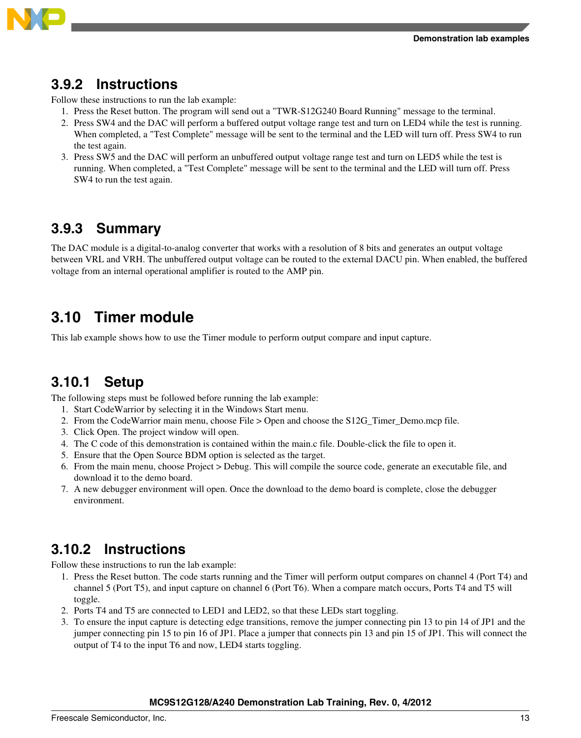<span id="page-12-0"></span>

### **3.9.2 Instructions**

Follow these instructions to run the lab example:

- 1. Press the Reset button. The program will send out a "TWR-S12G240 Board Running" message to the terminal.
- 2. Press SW4 and the DAC will perform a buffered output voltage range test and turn on LED4 while the test is running. When completed, a "Test Complete" message will be sent to the terminal and the LED will turn off. Press SW4 to run the test again.
- 3. Press SW5 and the DAC will perform an unbuffered output voltage range test and turn on LED5 while the test is running. When completed, a "Test Complete" message will be sent to the terminal and the LED will turn off. Press SW4 to run the test again.

### **3.9.3 Summary**

The DAC module is a digital-to-analog converter that works with a resolution of 8 bits and generates an output voltage between VRL and VRH. The unbuffered output voltage can be routed to the external DACU pin. When enabled, the buffered voltage from an internal operational amplifier is routed to the AMP pin.

# **3.10 Timer module**

This lab example shows how to use the Timer module to perform output compare and input capture.

### **3.10.1 Setup**

The following steps must be followed before running the lab example:

- 1. Start CodeWarrior by selecting it in the Windows Start menu.
- 2. From the CodeWarrior main menu, choose File > Open and choose the S12G\_Timer\_Demo.mcp file.
- 3. Click Open. The project window will open.
- 4. The C code of this demonstration is contained within the main.c file. Double-click the file to open it.
- 5. Ensure that the Open Source BDM option is selected as the target.
- 6. From the main menu, choose Project > Debug. This will compile the source code, generate an executable file, and download it to the demo board.
- 7. A new debugger environment will open. Once the download to the demo board is complete, close the debugger environment.

# **3.10.2 Instructions**

Follow these instructions to run the lab example:

- 1. Press the Reset button. The code starts running and the Timer will perform output compares on channel 4 (Port T4) and channel 5 (Port T5), and input capture on channel 6 (Port T6). When a compare match occurs, Ports T4 and T5 will toggle.
- 2. Ports T4 and T5 are connected to LED1 and LED2, so that these LEDs start toggling.
- 3. To ensure the input capture is detecting edge transitions, remove the jumper connecting pin 13 to pin 14 of JP1 and the jumper connecting pin 15 to pin 16 of JP1. Place a jumper that connects pin 13 and pin 15 of JP1. This will connect the output of T4 to the input T6 and now, LED4 starts toggling.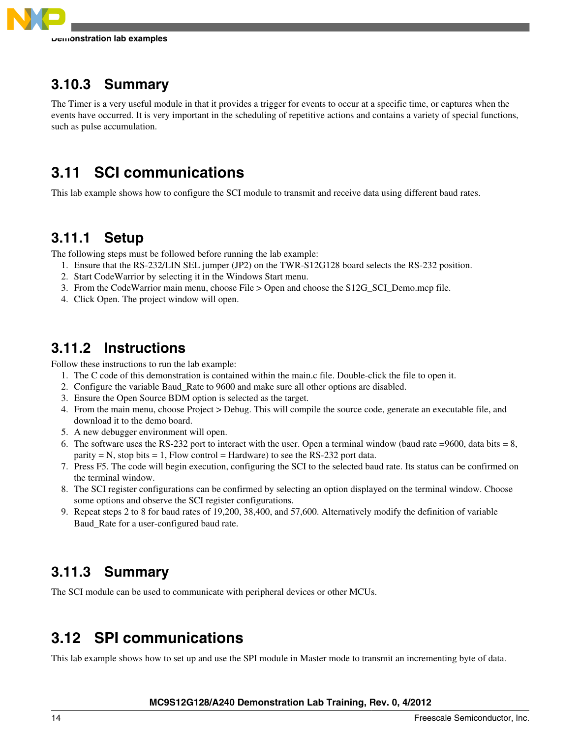<span id="page-13-0"></span>

# **3.10.3 Summary**

The Timer is a very useful module in that it provides a trigger for events to occur at a specific time, or captures when the events have occurred. It is very important in the scheduling of repetitive actions and contains a variety of special functions, such as pulse accumulation.

# **3.11 SCI communications**

This lab example shows how to configure the SCI module to transmit and receive data using different baud rates.

# **3.11.1 Setup**

The following steps must be followed before running the lab example:

- 1. Ensure that the RS-232/LIN SEL jumper (JP2) on the TWR-S12G128 board selects the RS-232 position.
- 2. Start CodeWarrior by selecting it in the Windows Start menu.
- 3. From the CodeWarrior main menu, choose File > Open and choose the S12G\_SCI\_Demo.mcp file.
- 4. Click Open. The project window will open.

### **3.11.2 Instructions**

Follow these instructions to run the lab example:

- 1. The C code of this demonstration is contained within the main.c file. Double-click the file to open it.
- 2. Configure the variable Baud\_Rate to 9600 and make sure all other options are disabled.
- 3. Ensure the Open Source BDM option is selected as the target.
- 4. From the main menu, choose Project > Debug. This will compile the source code, generate an executable file, and download it to the demo board.
- 5. A new debugger environment will open.
- 6. The software uses the RS-232 port to interact with the user. Open a terminal window (baud rate =9600, data bits = 8, parity  $= N$ , stop bits  $= 1$ , Flow control  $=$  Hardware) to see the RS-232 port data.
- 7. Press F5. The code will begin execution, configuring the SCI to the selected baud rate. Its status can be confirmed on the terminal window.
- 8. The SCI register configurations can be confirmed by selecting an option displayed on the terminal window. Choose some options and observe the SCI register configurations.
- 9. Repeat steps 2 to 8 for baud rates of 19,200, 38,400, and 57,600. Alternatively modify the definition of variable Baud\_Rate for a user-configured baud rate.

# **3.11.3 Summary**

The SCI module can be used to communicate with peripheral devices or other MCUs.

# **3.12 SPI communications**

This lab example shows how to set up and use the SPI module in Master mode to transmit an incrementing byte of data.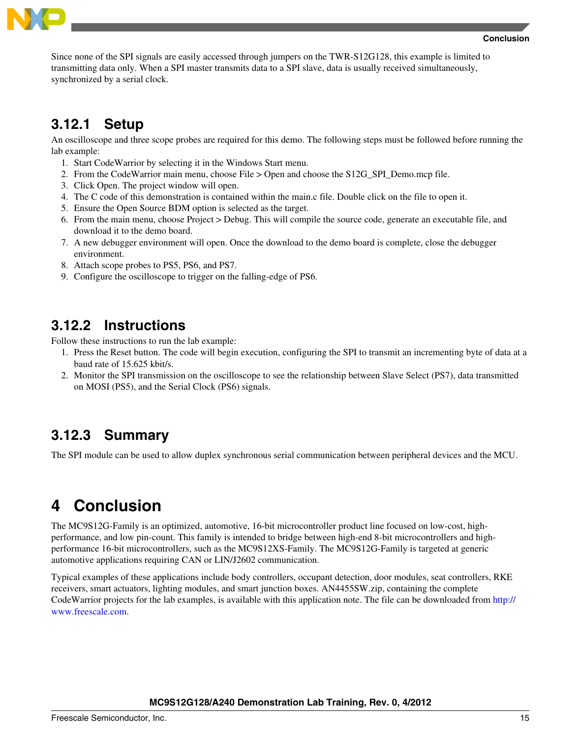<span id="page-14-0"></span>

Since none of the SPI signals are easily accessed through jumpers on the TWR-S12G128, this example is limited to transmitting data only. When a SPI master transmits data to a SPI slave, data is usually received simultaneously, synchronized by a serial clock.

# **3.12.1 Setup**

An oscilloscope and three scope probes are required for this demo. The following steps must be followed before running the lab example:

- 1. Start CodeWarrior by selecting it in the Windows Start menu.
- 2. From the CodeWarrior main menu, choose File > Open and choose the S12G\_SPI\_Demo.mcp file.
- 3. Click Open. The project window will open.
- 4. The C code of this demonstration is contained within the main.c file. Double click on the file to open it.
- 5. Ensure the Open Source BDM option is selected as the target.
- 6. From the main menu, choose Project > Debug. This will compile the source code, generate an executable file, and download it to the demo board.
- 7. A new debugger environment will open. Once the download to the demo board is complete, close the debugger environment.
- 8. Attach scope probes to PS5, PS6, and PS7.
- 9. Configure the oscilloscope to trigger on the falling-edge of PS6.

# **3.12.2 Instructions**

Follow these instructions to run the lab example:

- 1. Press the Reset button. The code will begin execution, configuring the SPI to transmit an incrementing byte of data at a baud rate of 15.625 kbit/s.
- 2. Monitor the SPI transmission on the oscilloscope to see the relationship between Slave Select (PS7), data transmitted on MOSI (PS5), and the Serial Clock (PS6) signals.

# **3.12.3 Summary**

The SPI module can be used to allow duplex synchronous serial communication between peripheral devices and the MCU.

# **4 Conclusion**

The MC9S12G-Family is an optimized, automotive, 16-bit microcontroller product line focused on low-cost, highperformance, and low pin-count. This family is intended to bridge between high-end 8-bit microcontrollers and highperformance 16-bit microcontrollers, such as the MC9S12XS-Family. The MC9S12G-Family is targeted at generic automotive applications requiring CAN or LIN/J2602 communication.

Typical examples of these applications include body controllers, occupant detection, door modules, seat controllers, RKE receivers, smart actuators, lighting modules, and smart junction boxes. AN4455SW.zip, containing the complete CodeWarrior projects for the lab examples, is available with this application note. The file can be downloaded from [http://](http://www.freescale.com) [www.freescale.com](http://www.freescale.com).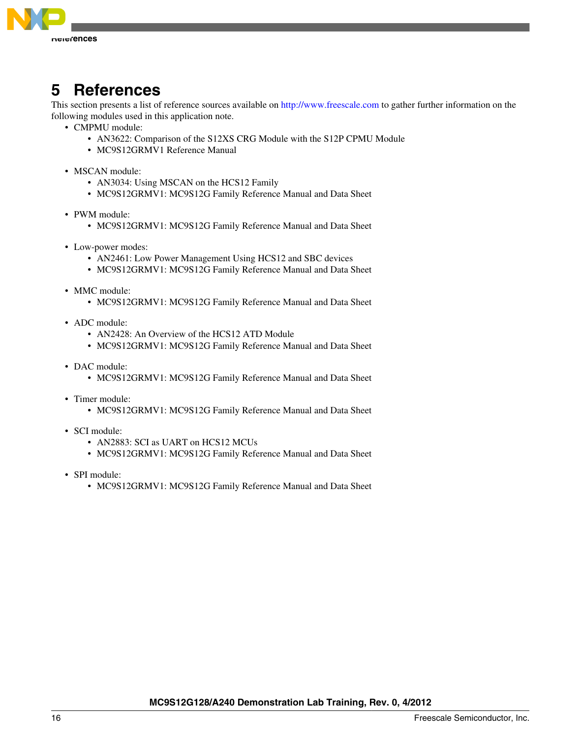<span id="page-15-0"></span>

# **5 References**

This section presents a list of reference sources available on<http://www.freescale.com> to gather further information on the following modules used in this application note.

- CMPMU module:
	- AN3622: Comparison of the S12XS CRG Module with the S12P CPMU Module
	- MC9S12GRMV1 Reference Manual
- MSCAN module:
	- AN3034: Using MSCAN on the HCS12 Family
	- MC9S12GRMV1: MC9S12G Family Reference Manual and Data Sheet
- PWM module:
	- MC9S12GRMV1: MC9S12G Family Reference Manual and Data Sheet
- Low-power modes:
	- AN2461: Low Power Management Using HCS12 and SBC devices
	- MC9S12GRMV1: MC9S12G Family Reference Manual and Data Sheet
- MMC module:
	- MC9S12GRMV1: MC9S12G Family Reference Manual and Data Sheet
- ADC module:
	- AN2428: An Overview of the HCS12 ATD Module
	- MC9S12GRMV1: MC9S12G Family Reference Manual and Data Sheet
- DAC module:
	- MC9S12GRMV1: MC9S12G Family Reference Manual and Data Sheet
- Timer module:
	- MC9S12GRMV1: MC9S12G Family Reference Manual and Data Sheet
- SCI module:
	- AN2883: SCI as UART on HCS12 MCUs
	- MC9S12GRMV1: MC9S12G Family Reference Manual and Data Sheet
- SPI module:
	- MC9S12GRMV1: MC9S12G Family Reference Manual and Data Sheet